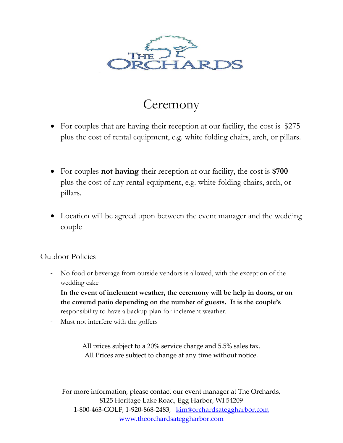

### **Ceremony**

- For couples that are having their reception at our facility, the cost is \$275 plus the cost of rental equipment, e.g. white folding chairs, arch, or pillars.
- For couples **not having** their reception at our facility, the cost is **\$700** plus the cost of any rental equipment, e.g. white folding chairs, arch, or pillars.
- Location will be agreed upon between the event manager and the wedding couple

#### Outdoor Policies

- No food or beverage from outside vendors is allowed, with the exception of the wedding cake
- **In the event of inclement weather, the ceremony will be help in doors, or on the covered patio depending on the number of guests. It is the couple's** responsibility to have a backup plan for inclement weather.
- Must not interfere with the golfers

All prices subject to a 20% service charge and 5.5% sales tax. All Prices are subject to change at any time without notice.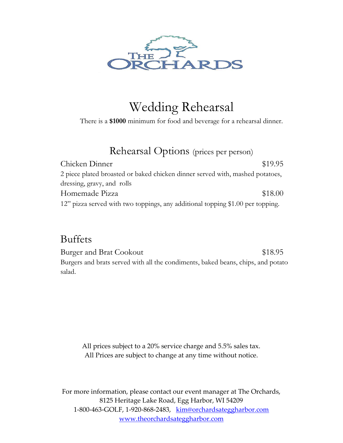

## Wedding Rehearsal

There is a **\$1000** minimum for food and beverage for a rehearsal dinner.

Rehearsal Options (prices per person)

Chicken Dinner \$19.95 2 piece plated broasted or baked chicken dinner served with, mashed potatoes, dressing, gravy, and rolls Homemade Pizza  $$18.00$ 12" pizza served with two toppings, any additional topping \$1.00 per topping.

### Buffets

Burger and Brat Cookout \$18.95 Burgers and brats served with all the condiments, baked beans, chips, and potato salad.

All prices subject to a 20% service charge and 5.5% sales tax. All Prices are subject to change at any time without notice.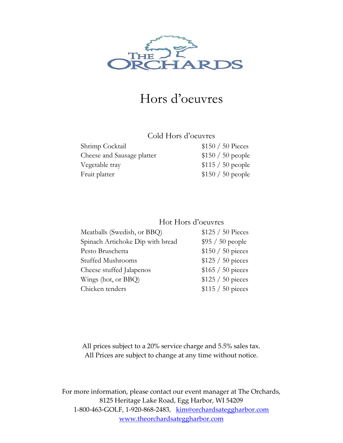

### Hors d'oeuvres

### Cold Hors d'oeuvres

| Shrimp Cocktail            | $$150 / 50$ Pieces |
|----------------------------|--------------------|
| Cheese and Sausage platter | $$150 / 50$ people |
| Vegetable tray             | $$115 / 50$ people |
| Fruit platter              | $$150 / 50$ people |

### Hot Hors d'oeuvres

| Meatballs (Swedish, or BBQ)      | \$125 / 50 Pieces  |
|----------------------------------|--------------------|
| Spinach Artichoke Dip with bread | $$95 / 50$ people  |
| Pesto Bruschetta                 | $$150 / 50$ pieces |
| <b>Stuffed Mushrooms</b>         | $$125 / 50$ pieces |
| Cheese stuffed Jalapenos         | $$165 / 50$ pieces |
| Wings (hot, or BBQ)              | $$125 / 50$ pieces |
| Chicken tenders                  | $$115 / 50$ pieces |

All prices subject to a 20% service charge and 5.5% sales tax. All Prices are subject to change at any time without notice.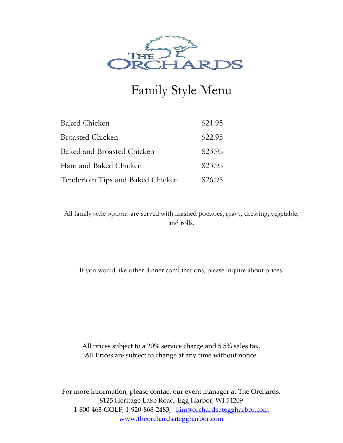

# Family Style Menu

| <b>Baked Chicken</b>              | \$21.95 |
|-----------------------------------|---------|
| <b>Broasted Chicken</b>           | \$22.95 |
| Baked and Broasted Chicken        | \$23.95 |
| Ham and Baked Chicken             | \$23.95 |
| Tenderloin Tips and Baked Chicken | \$26.95 |

All family style options are served with mashed potatoes, gravy, dressing, vegetable, and rolls.

If you would like other dinner combinations, please inquire about prices.

All prices subject to a 20% service charge and 5.5% sales tax. All Prices are subject to change at any time without notice.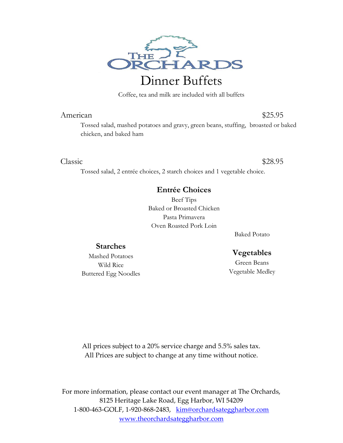

Coffee, tea and milk are included with all buffets

#### American \$25.95

Tossed salad, mashed potatoes and gravy, green beans, stuffing, broasted or baked chicken, and baked ham

#### Classic \$28.95

Tossed salad, 2 entrée choices, 2 starch choices and 1 vegetable choice.

#### **Entrée Choices**

Beef Tips Baked or Broasted Chicken Pasta Primavera Oven Roasted Pork Loin

Baked Potato

#### **Vegetables**

Green Beans Vegetable Medley

Mashed Potatoes Wild Rice Buttered Egg Noodles

**Starches**

All prices subject to a 20% service charge and 5.5% sales tax. All Prices are subject to change at any time without notice.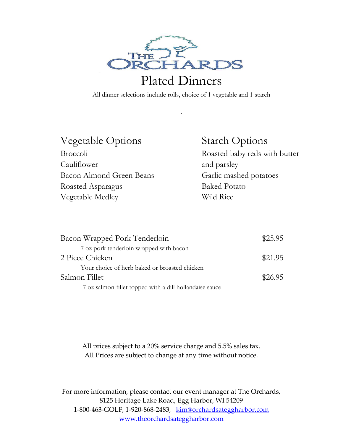

## Plated Dinners

All dinner selections include rolls, choice of 1 vegetable and 1 starch

.

| <b>Vegetable Options</b> |
|--------------------------|
| <b>Broccoli</b>          |
| Cauliflower              |
| Bacon Almond Green Beans |
| Roasted Asparagus        |
| Vegetable Medley         |

### Starch Options

Roasted baby reds with butter and parsley Garlic mashed potatoes Baked Potato Wild Rice

| Bacon Wrapped Pork Tenderloin                           | \$25.95 |
|---------------------------------------------------------|---------|
| 7 oz pork tenderloin wrapped with bacon                 |         |
| 2 Piece Chicken                                         | \$21.95 |
| Your choice of herb baked or broasted chicken           |         |
| Salmon Fillet                                           | \$26.95 |
| 7 oz salmon fillet topped with a dill hollandaise sauce |         |

All prices subject to a 20% service charge and 5.5% sales tax. All Prices are subject to change at any time without notice.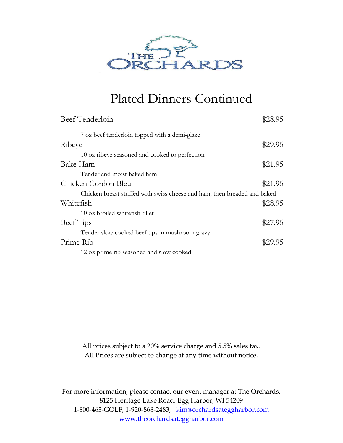

### Plated Dinners Continued

| Beef Tenderloin                                                          | \$28.95 |
|--------------------------------------------------------------------------|---------|
| 7 oz beef tenderloin topped with a demi-glaze                            |         |
| Ribeye                                                                   | \$29.95 |
| 10 oz ribeye seasoned and cooked to perfection                           |         |
| Bake Ham                                                                 | \$21.95 |
| Tender and moist baked ham                                               |         |
| Chicken Cordon Bleu                                                      | \$21.95 |
| Chicken breast stuffed with swiss cheese and ham, then breaded and baked |         |
| Whitefish                                                                | \$28.95 |
| 10 oz broiled whitefish fillet                                           |         |
| Beef Tips                                                                | \$27.95 |
| Tender slow cooked beef tips in mushroom gravy                           |         |
| Prime Rib                                                                | \$29.95 |
| 12 oz prime rib seasoned and slow cooked                                 |         |

All prices subject to a 20% service charge and 5.5% sales tax. All Prices are subject to change at any time without notice.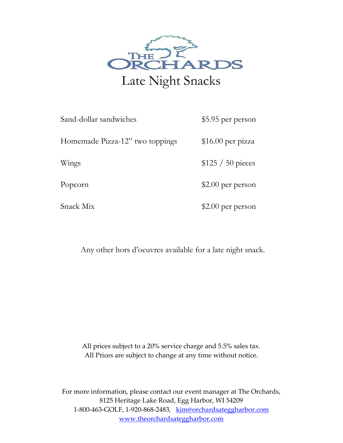

| Sand-dollar sandwiches          | \$5.95 per person  |
|---------------------------------|--------------------|
| Homemade Pizza-12" two toppings | $$16.00$ per pizza |
| Wings                           | $$125 / 50$ pieces |
| Popcorn                         | $$2.00$ per person |
| Snack Mix                       | \$2.00 per person  |

Any other hors d'oeuvres available for a late night snack.

All prices subject to a 20% service charge and 5.5% sales tax. All Prices are subject to change at any time without notice.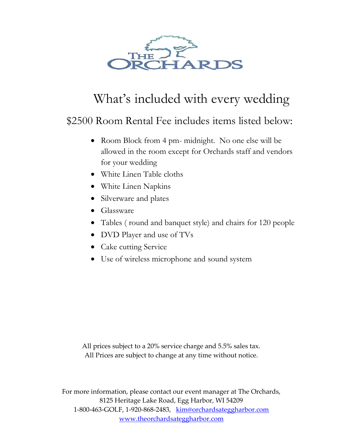

# What's included with every wedding

### \$2500 Room Rental Fee includes items listed below:

- Room Block from 4 pm- midnight. No one else will be allowed in the room except for Orchards staff and vendors for your wedding
- White Linen Table cloths
- White Linen Napkins
- Silverware and plates
- Glassware
- Tables ( round and banquet style) and chairs for 120 people
- DVD Player and use of TVs
- Cake cutting Service
- Use of wireless microphone and sound system

All prices subject to a 20% service charge and 5.5% sales tax. All Prices are subject to change at any time without notice.